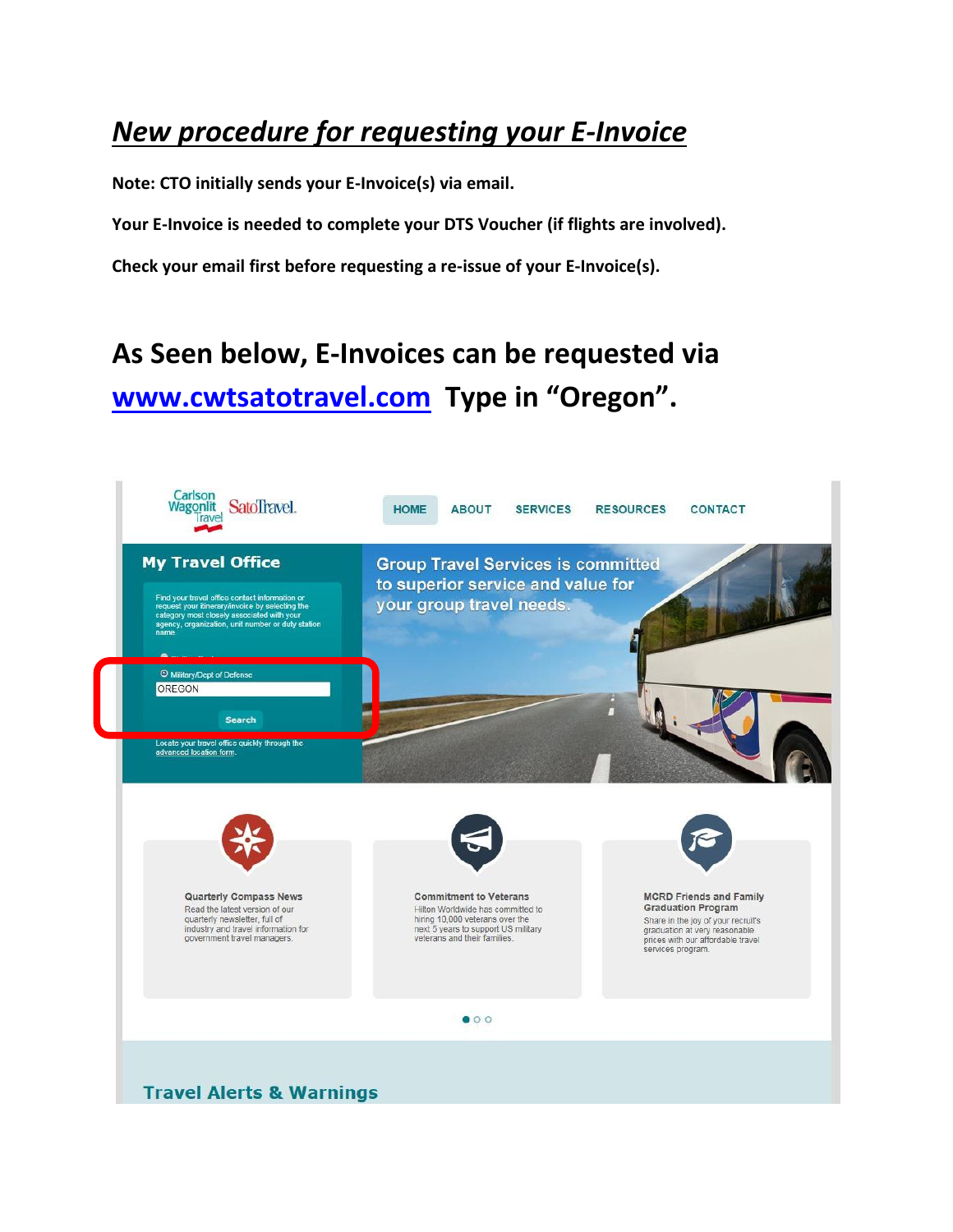### *New procedure for requesting your E-Invoice*

**Note: CTO initially sends your E-Invoice(s) via email.**

**Your E-Invoice is needed to complete your DTS Voucher (if flights are involved).**

**Check your email first before requesting a re-issue of your E-Invoice(s).** 

## **As Seen below, E-Invoices can be requested via [www.cwtsatotravel.com](http://www.cwtsatotravel.com/) Type in "Oregon".**

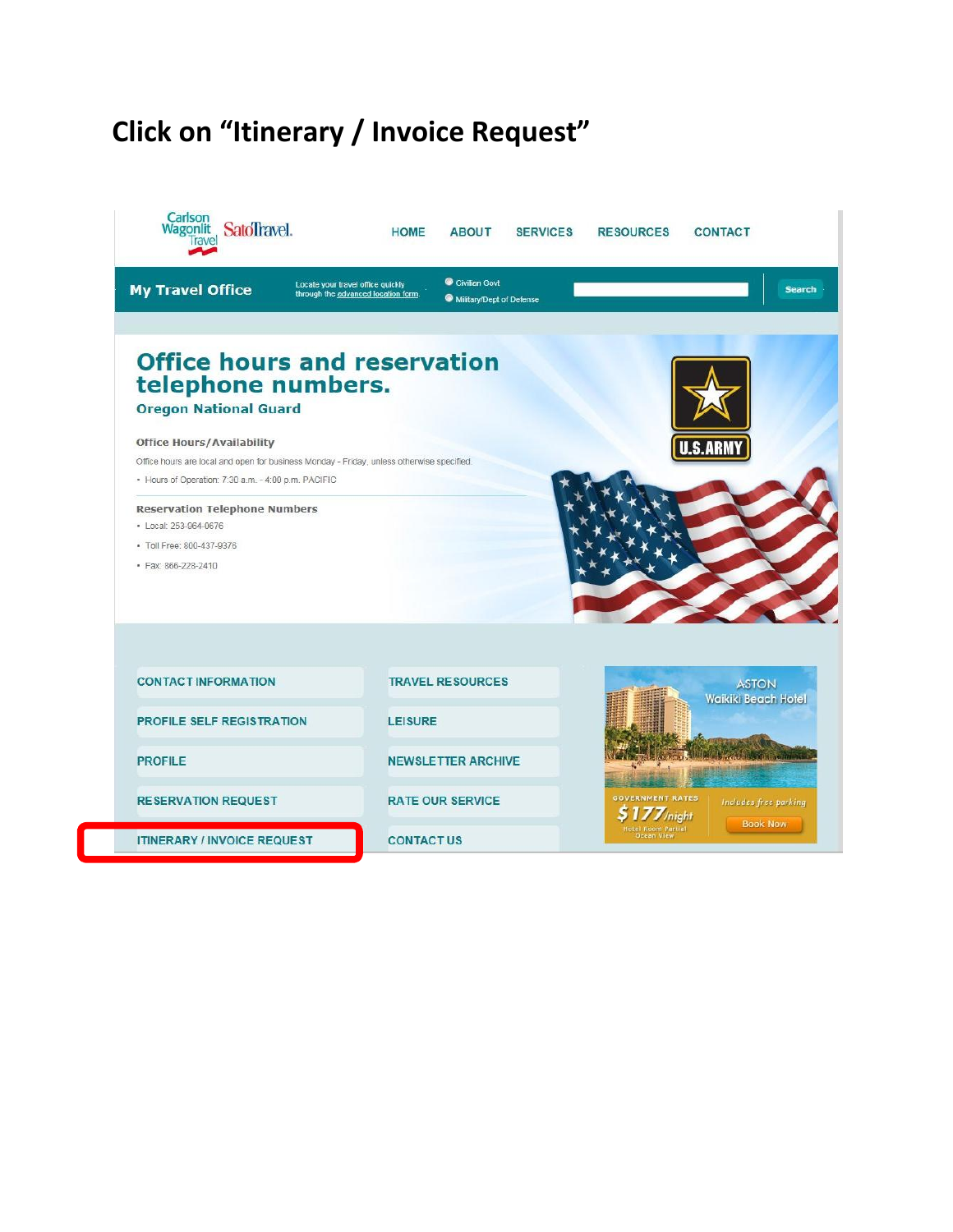# **Click on "Itinerary / Invoice Request"**

| Carlson<br>Wagonlit SatoTravel.                                                                                                                                                                                            | <b>HOME</b><br><b>ABOUT</b><br><b>SERVICES</b>                                                                        | <b>RESOURCES</b><br><b>CONTACT</b>                        |
|----------------------------------------------------------------------------------------------------------------------------------------------------------------------------------------------------------------------------|-----------------------------------------------------------------------------------------------------------------------|-----------------------------------------------------------|
| <b>My Travel Office</b>                                                                                                                                                                                                    | Civilian Govt<br>Locate your travel office quickly<br>through the advanced location form.<br>Military/Dept of Defense | <b>Search</b>                                             |
| <b>Office hours and reservation</b><br>telephone numbers.<br><b>Oregon National Guard</b><br><b>Office Hours/Availability</b><br>Office hours are local and open for business Monday - Friday, unless otherwise specified. |                                                                                                                       | U.S.ARM                                                   |
| · Hours of Operation: 7:30 a.m. - 4:00 p.m. PACIFIC<br><b>Reservation Telephone Numbers</b><br>· Local: 253-964-0676<br>· Toll Free: 800-437-9376                                                                          |                                                                                                                       |                                                           |
| · Fax: 866-228-2410                                                                                                                                                                                                        |                                                                                                                       |                                                           |
| <b>CONTACT INFORMATION</b>                                                                                                                                                                                                 | <b>TRAVEL RESOURCES</b>                                                                                               | <b>ASTON</b>                                              |
| <b>PROFILE SELF REGISTRATION</b>                                                                                                                                                                                           | <b>LEISURE</b>                                                                                                        | <b>Waikiki Beach Hotel</b>                                |
| <b>PROFILE</b>                                                                                                                                                                                                             | <b>NEWSLETTER ARCHIVE</b>                                                                                             |                                                           |
| <b>RESERVATION REQUEST</b>                                                                                                                                                                                                 | <b>RATE OUR SERVICE</b>                                                                                               | <b>GOVERNMENT RATES</b><br>Includes free parking<br>night |
| <b>ITINERARY / INVOICE REQUEST</b>                                                                                                                                                                                         | <b>CONTACTUS</b>                                                                                                      | <b>Book Now</b>                                           |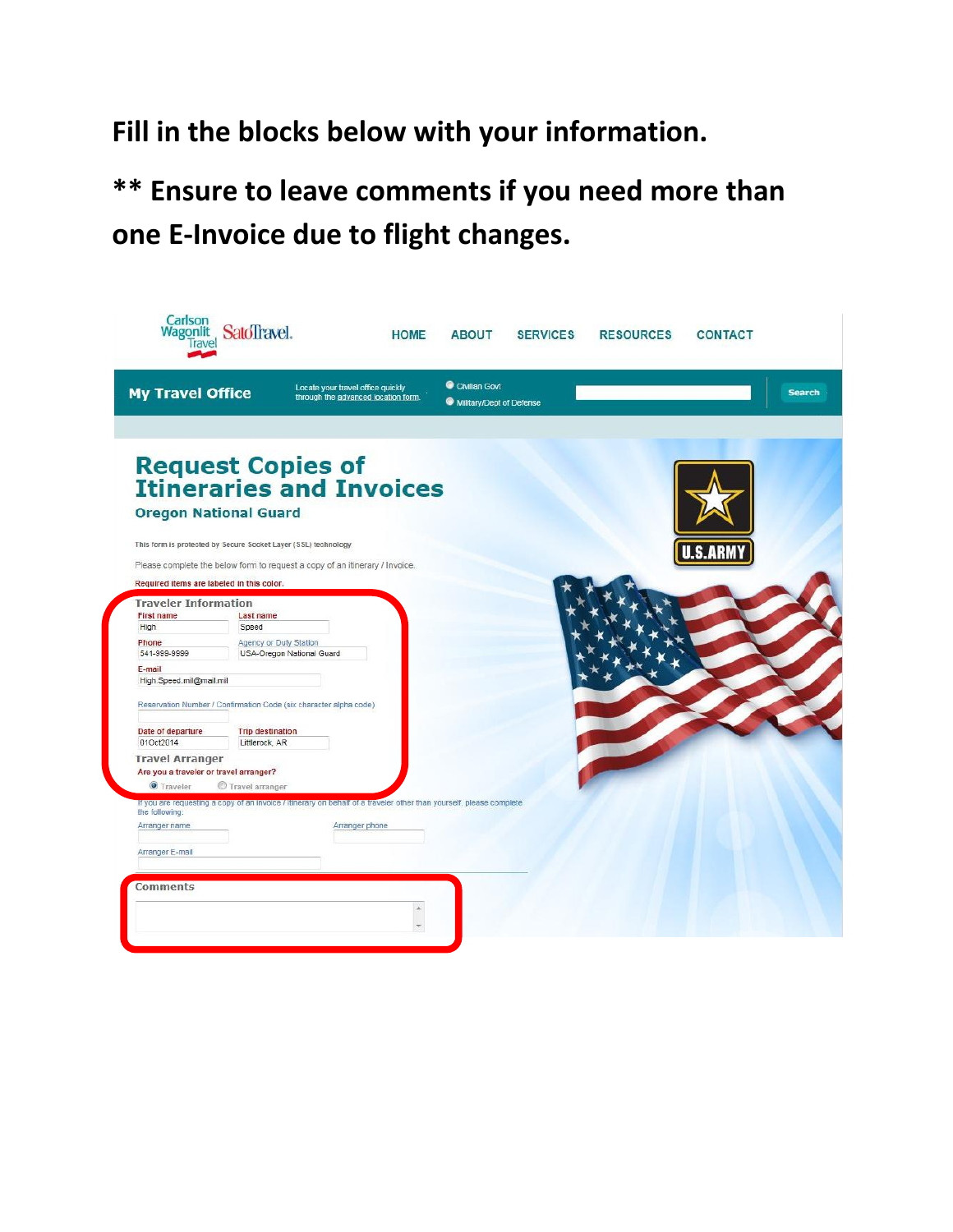**Fill in the blocks below with your information.**

**\*\* Ensure to leave comments if you need more than one E-Invoice due to flight changes.**

|                                           |                                                                                                                     | Locate your travel office quickly   | Civilian Govt            |  |                |               |
|-------------------------------------------|---------------------------------------------------------------------------------------------------------------------|-------------------------------------|--------------------------|--|----------------|---------------|
| <b>My Travel Office</b>                   |                                                                                                                     | through the advanced location form. | Military/Dept of Defense |  |                | <b>Search</b> |
|                                           |                                                                                                                     |                                     |                          |  |                |               |
|                                           |                                                                                                                     |                                     |                          |  |                |               |
|                                           | <b>Request Copies of<br/>Itineraries and Invoices</b>                                                               |                                     |                          |  |                |               |
|                                           |                                                                                                                     |                                     |                          |  |                |               |
|                                           |                                                                                                                     |                                     |                          |  |                |               |
| <b>Oregon National Guard</b>              |                                                                                                                     |                                     |                          |  |                |               |
|                                           |                                                                                                                     |                                     |                          |  |                |               |
|                                           | This form is protected by Secure Socket Layer (SSL) technology                                                      |                                     |                          |  | <b>U.S.ARM</b> |               |
|                                           | Please complete the below form to request a copy of an itinerary / Invoice.                                         |                                     |                          |  |                |               |
| Required items are labeled in this color. |                                                                                                                     |                                     |                          |  |                |               |
|                                           |                                                                                                                     |                                     |                          |  |                |               |
| <b>Traveler Information</b>               |                                                                                                                     |                                     |                          |  |                |               |
| <b>First name</b><br>High                 | Last name<br>Speed                                                                                                  |                                     |                          |  |                |               |
|                                           |                                                                                                                     |                                     |                          |  |                |               |
| Phone<br>541-999-9999                     | Agency or Duty Station<br>USA-Oregon National Guard                                                                 |                                     |                          |  |                |               |
|                                           |                                                                                                                     |                                     |                          |  |                |               |
| E-mail                                    |                                                                                                                     |                                     |                          |  |                |               |
| High Speed.mil@mail.mil                   |                                                                                                                     |                                     |                          |  |                |               |
|                                           | Reservation Number / Confirmation Code (six character alpha code)                                                   |                                     |                          |  |                |               |
|                                           |                                                                                                                     |                                     |                          |  |                |               |
| Date of departure                         | <b>Trip destination</b>                                                                                             |                                     |                          |  |                |               |
| 01Oct2014                                 | Littlerock, AR                                                                                                      |                                     |                          |  |                |               |
| <b>Travel Arranger</b>                    |                                                                                                                     |                                     |                          |  |                |               |
| Are you a traveler or travel arranger?    |                                                                                                                     |                                     |                          |  |                |               |
| <b>O</b> Traveler                         | Travel arranger                                                                                                     |                                     |                          |  |                |               |
|                                           | If you are requesting a copy of an invoice / litnerary on behalf of a traveler other than yourself, please complete |                                     |                          |  |                |               |
| the following:                            |                                                                                                                     |                                     |                          |  |                |               |
| Arranger name                             |                                                                                                                     | Arranger phone                      |                          |  |                |               |
|                                           |                                                                                                                     |                                     |                          |  |                |               |
| Arranger E-mail                           |                                                                                                                     |                                     |                          |  |                |               |
|                                           |                                                                                                                     |                                     |                          |  |                |               |
|                                           |                                                                                                                     |                                     |                          |  |                |               |
|                                           |                                                                                                                     |                                     |                          |  |                |               |
| Comments                                  |                                                                                                                     |                                     |                          |  |                |               |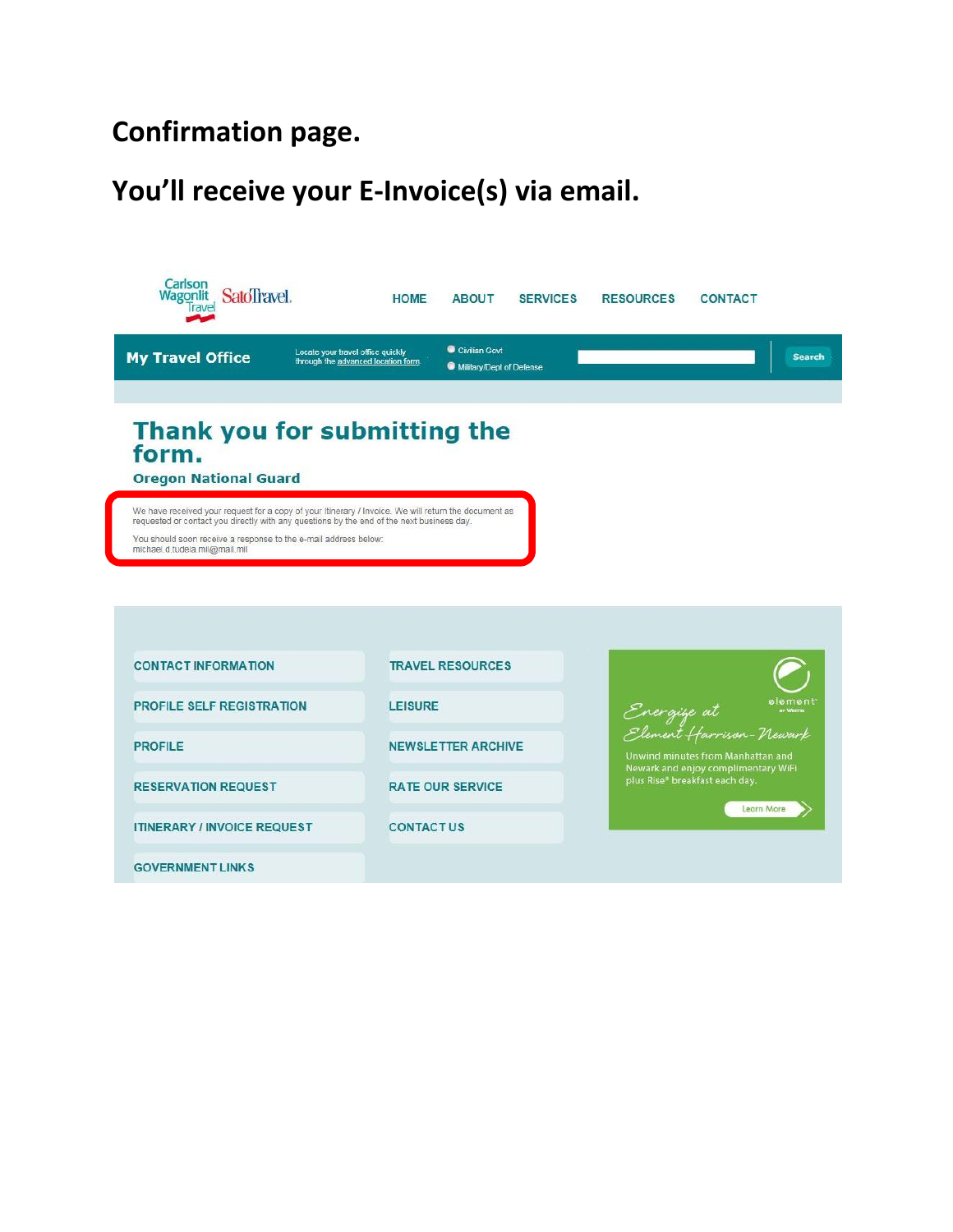### **Confirmation page.**

### **You'll receive your E-Invoice(s) via email.**